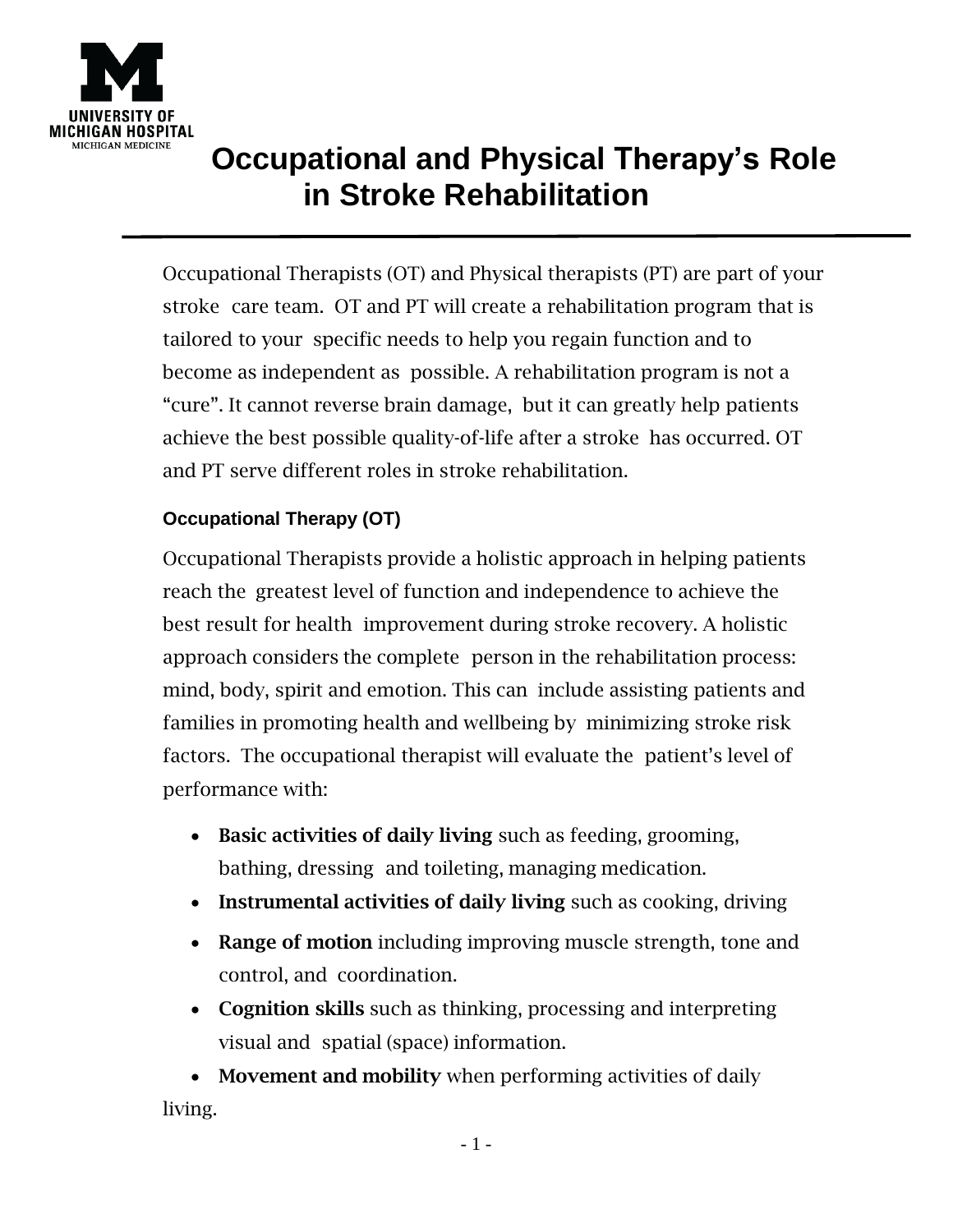

## **Occupational and Physical Therapy's Role in Stroke Rehabilitation**

Occupational Therapists (OT) and Physical therapists (PT) are part of your stroke care team. OT and PT will create a rehabilitation program that is tailored to your specific needs to help you regain function and to become as independent as possible. A rehabilitation program is not a "cure". It cannot reverse brain damage, but it can greatly help patients achieve the best possible quality-of-life after a stroke has occurred. OT and PT serve different roles in stroke rehabilitation.

## **Occupational Therapy (OT)**

Occupational Therapists provide a holistic approach in helping patients reach the greatest level of function and independence to achieve the best result for health improvement during stroke recovery. A holistic approach considers the complete person in the rehabilitation process: mind, body, spirit and emotion. This can include assisting patients and families in promoting health and wellbeing by minimizing stroke risk factors. The occupational therapist will evaluate the patient's level of performance with:

- Basic activities of daily living such as feeding, grooming, bathing, dressing and toileting, managing medication.
- Instrumental activities of daily living such as cooking, driving
- Range of motion including improving muscle strength, tone and control, and coordination.
- Cognition skills such as thinking, processing and interpreting visual and spatial (space) information.

• Movement and mobility when performing activities of daily living.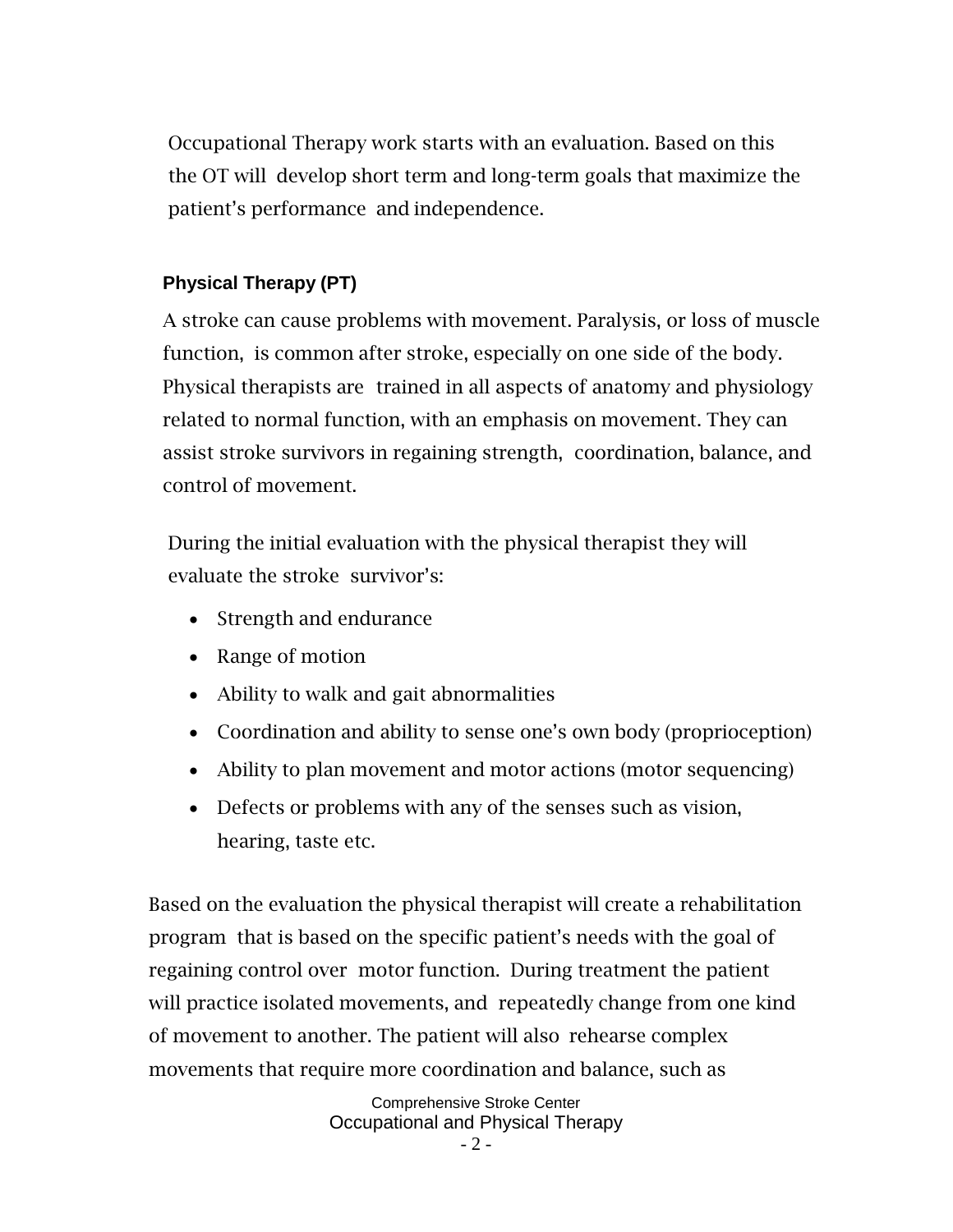Occupational Therapy work starts with an evaluation. Based on this the OT will develop short term and long-term goals that maximize the patient's performance and independence.

## **Physical Therapy (PT)**

A stroke can cause problems with movement. Paralysis, or loss of muscle function, is common after stroke, especially on one side of the body. Physical therapists are trained in all aspects of anatomy and physiology related to normal function, with an emphasis on movement. They can assist stroke survivors in regaining strength, coordination, balance, and control of movement.

During the initial evaluation with the physical therapist they will evaluate the stroke survivor's:

- Strength and endurance
- Range of motion
- Ability to walk and gait abnormalities
- Coordination and ability to sense one's own body (proprioception)
- Ability to plan movement and motor actions (motor sequencing)
- Defects or problems with any of the senses such as vision, hearing, taste etc.

Based on the evaluation the physical therapist will create a rehabilitation program that is based on the specific patient's needs with the goal of regaining control over motor function. During treatment the patient will practice isolated movements, and repeatedly change from one kind of movement to another. The patient will also rehearse complex movements that require more coordination and balance, such as